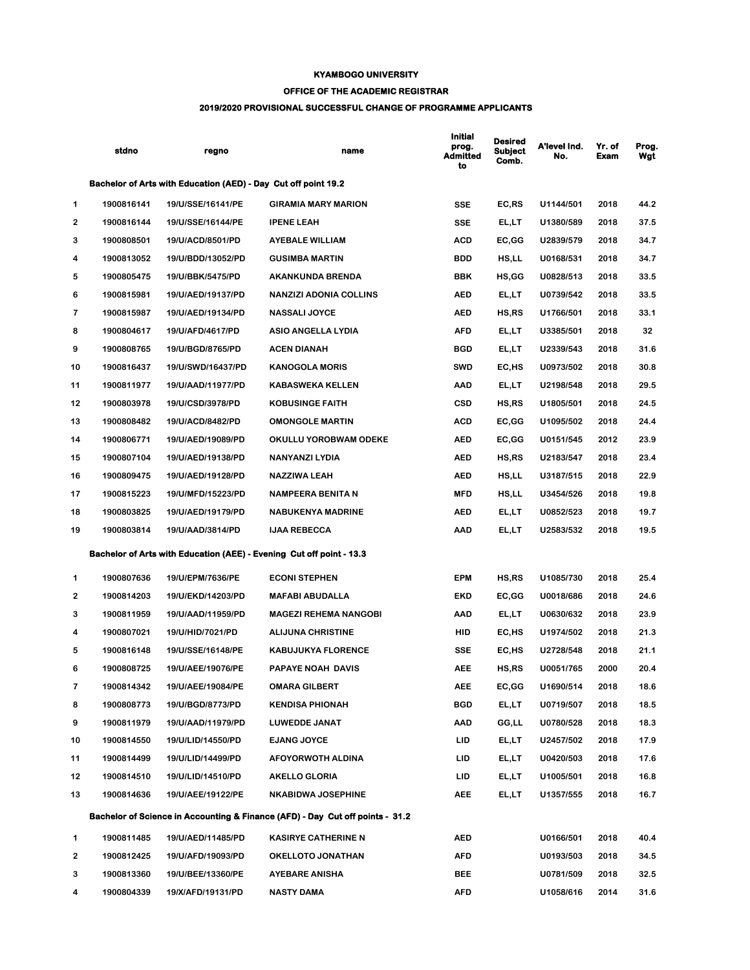## **KYAMBOGO UNIVERSITY**

## **OFFICE OF THE ACADEMIC REGISTRAR**

## **2019/2020 PROVISIONAL SUCCESSFUL CHANGE OF PROGRAMME APPLICANTS**

|                         | stdno      | regno                                                          | name                                                                                     | <b>Initial</b><br>prog.<br>Admitted<br>to | <b>Desired</b><br><b>Subject</b><br>Comb. | A'level Ind.<br>No. | Yr. of<br>Exam | Prog.<br>Wgt |
|-------------------------|------------|----------------------------------------------------------------|------------------------------------------------------------------------------------------|-------------------------------------------|-------------------------------------------|---------------------|----------------|--------------|
|                         |            | Bachelor of Arts with Education (AED) - Day Cut off point 19.2 |                                                                                          |                                           |                                           |                     |                |              |
| 1                       | 1900816141 | 19/U/SSE/16141/PE                                              | <b>GIRAMIA MARY MARION</b>                                                               | <b>SSE</b>                                | EC,RS                                     | U1144/501           | 2018           | 44.2         |
| 2                       | 1900816144 | 19/U/SSE/16144/PE                                              | <b>IPENE LEAH</b>                                                                        | <b>SSE</b>                                | EL,LT                                     | U1380/589           | 2018           | 37.5         |
| 3                       | 1900808501 | 19/U/ACD/8501/PD                                               | <b>AYEBALE WILLIAM</b>                                                                   | ACD                                       | EC,GG                                     | U2839/579           | 2018           | 34.7         |
| 4                       | 1900813052 | 19/U/BDD/13052/PD                                              | <b>GUSIMBA MARTIN</b>                                                                    | <b>BDD</b>                                | HS,LL                                     | U0168/531           | 2018           | 34.7         |
| 5                       | 1900805475 | 19/U/BBK/5475/PD                                               | AKANKUNDA BRENDA                                                                         | BBK                                       | HS, GG                                    | U0828/513           | 2018           | 33.5         |
| 6                       | 1900815981 | 19/U/AED/19137/PD                                              | <b>NANZIZI ADONIA COLLINS</b>                                                            | AED                                       | EL,LT                                     | U0739/542           | 2018           | 33.5         |
| 7                       | 1900815987 | 19/U/AED/19134/PD                                              | <b>NASSALI JOYCE</b>                                                                     | AED                                       | HS,RS                                     | U1766/501           | 2018           | 33.1         |
| 8                       | 1900804617 | 19/U/AFD/4617/PD                                               | ASIO ANGELLA LYDIA                                                                       | AFD                                       | EL,LT                                     | U3385/501           | 2018           | 32           |
| 9                       | 1900808765 | 19/U/BGD/8765/PD                                               | <b>ACEN DIANAH</b>                                                                       | BGD                                       | EL,LT                                     | U2339/543           | 2018           | 31.6         |
| 10                      | 1900816437 | 19/U/SWD/16437/PD                                              | <b>KANOGOLA MORIS</b>                                                                    | SWD                                       | EC,HS                                     | U0973/502           | 2018           | 30.8         |
| 11                      | 1900811977 | 19/U/AAD/11977/PD                                              | <b>KABASWEKA KELLEN</b>                                                                  | AAD                                       | EL,LT                                     | U2198/548           | 2018           | 29.5         |
| 12                      | 1900803978 | 19/U/CSD/3978/PD                                               | <b>KOBUSINGE FAITH</b>                                                                   | <b>CSD</b>                                | HS,RS                                     | U1805/501           | 2018           | 24.5         |
| 13                      | 1900808482 | 19/U/ACD/8482/PD                                               | <b>OMONGOLE MARTIN</b>                                                                   | ACD                                       | EC,GG                                     | U1095/502           | 2018           | 24.4         |
| 14                      | 1900806771 | 19/U/AED/19089/PD                                              | OKULLU YOROBWAM ODEKE                                                                    | AED                                       | EC,GG                                     | U0151/545           | 2012           | 23.9         |
| 15                      | 1900807104 | 19/U/AED/19138/PD                                              | NANYANZI LYDIA                                                                           | AED                                       | HS,RS                                     | U2183/547           | 2018           | 23.4         |
| 16                      | 1900809475 | 19/U/AED/19128/PD                                              | <b>NAZZIWA LEAH</b>                                                                      | AED                                       | HS,LL                                     | U3187/515           | 2018           | 22.9         |
| 17                      | 1900815223 | 19/U/MFD/15223/PD                                              | NAMPEERA BENITA N                                                                        | MFD                                       | HS,LL                                     | U3454/526           | 2018           | 19.8         |
| 18                      | 1900803825 | 19/U/AED/19179/PD                                              | <b>NABUKENYA MADRINE</b>                                                                 | AED                                       | EL,LT                                     | U0852/523           | 2018           | 19.7         |
| 19                      | 1900803814 | 19/U/AAD/3814/PD                                               | <b>IJAA REBECCA</b>                                                                      | AAD                                       | EL,LT                                     | U2583/532           | 2018           | 19.5         |
|                         |            |                                                                | Bachelor of Arts with Education (AEE) - Evening Cut off point - 13.3                     |                                           |                                           |                     |                |              |
| 1                       | 1900807636 | 19/U/EPM/7636/PE                                               | <b>ECONI STEPHEN</b>                                                                     | <b>EPM</b>                                | HS,RS                                     | U1085/730           | 2018           | 25.4         |
| 2                       | 1900814203 | 19/U/EKD/14203/PD                                              | <b>MAFABI ABUDALLA</b>                                                                   | EKD                                       | EC,GG                                     | U0018/686           | 2018           | 24.6         |
| 3                       | 1900811959 | 19/U/AAD/11959/PD                                              | <b>MAGEZI REHEMA NANGOBI</b>                                                             | AAD                                       | EL,LT                                     | U0630/632           | 2018           | 23.9         |
| 4                       | 1900807021 | 19/U/HID/7021/PD                                               | <b>ALIJUNA CHRISTINE</b>                                                                 | HID                                       | EC,HS                                     | U1974/502           | 2018           | 21.3         |
| 5                       | 1900816148 | 19/U/SSE/16148/PE                                              | <b>KABUJUKYA FLORENCE</b>                                                                | SSE                                       | EC,HS                                     | U2728/548           | 2018           | 21.1         |
| 6                       | 1900808725 | 19/U/AEE/19076/PE                                              | PAPAYE NOAH DAVIS                                                                        | AEE                                       | HS,RS                                     | U0051/765           | 2000           | 20.4         |
| $\overline{\mathbf{r}}$ | 1900814342 | 19/U/AEE/19084/PE                                              | <b>OMARA GILBERT</b>                                                                     | <b>AEE</b>                                | EC,GG                                     | U1690/514           | 2018           | 18.6         |
| 8                       | 1900808773 | 19/U/BGD/8773/PD                                               | <b>KENDISA PHIONAH</b>                                                                   | BGD                                       | EL,LT                                     | U0719/507           | 2018           | 18.5         |
| 9                       | 1900811979 | 19/U/AAD/11979/PD                                              | LUWEDDE JANAT                                                                            | AAD                                       | GG,LL                                     | U0780/528           | 2018           | 18.3         |
| 10                      | 1900814550 | 19/U/LID/14550/PD                                              | <b>EJANG JOYCE</b>                                                                       | LID                                       | EL,LT                                     | U2457/502           | 2018           | 17.9         |
| 11                      | 1900814499 | 19/U/LID/14499/PD                                              | AFOYORWOTH ALDINA                                                                        | LID.                                      | EL,LT                                     | U0420/503           | 2018           | 17.6         |
| 12                      | 1900814510 | 19/U/LID/14510/PD                                              | <b>AKELLO GLORIA</b>                                                                     | LID                                       | EL,LT                                     | U1005/501           | 2018           | 16.8         |
| 13                      | 1900814636 | 19/U/AEE/19122/PE                                              | <b>NKABIDWA JOSEPHINE</b>                                                                | AEE                                       | EL,LT                                     | U1357/555           | 2018           | 16.7         |
|                         |            |                                                                | <b>Bachelor of Science in Accounting &amp; Finance (AFD) - Day Cut off points - 31.2</b> |                                           |                                           |                     |                |              |
| 1                       | 1900811485 | 19/U/AED/11485/PD                                              | <b>KASIRYE CATHERINE N</b>                                                               | AED                                       |                                           | U0166/501           | 2018           | 40.4         |
| 2                       | 1900812425 | 19/U/AFD/19093/PD                                              | OKELLOTO JONATHAN                                                                        | AFD                                       |                                           | U0193/503           | 2018           | 34.5         |
| 3                       | 1900813360 | 19/U/BEE/13360/PE                                              | <b>AYEBARE ANISHA</b>                                                                    | <b>BEE</b>                                |                                           | U0781/509           | 2018           | 32.5         |
| 4                       | 1900804339 | 19/X/AFD/19131/PD                                              | <b>NASTY DAMA</b>                                                                        | AFD                                       |                                           | U1058/616           | 2014           | 31.6         |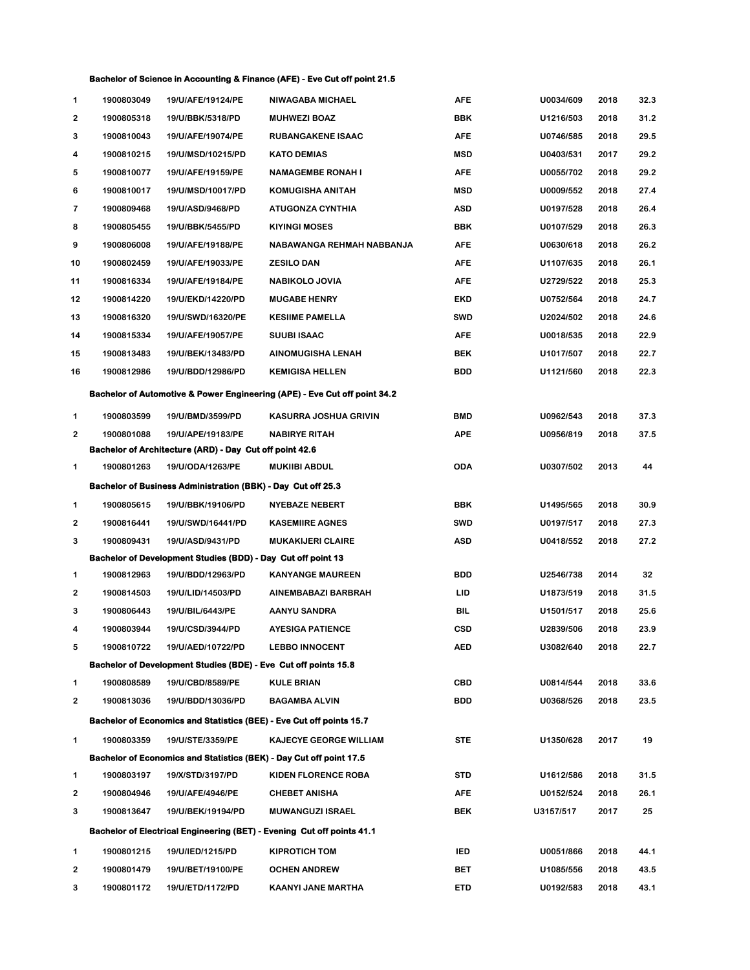## **Bachelor of Science in Accounting & Finance (AFE) - Eve Cut off point 21.5**

| 1                                                                         | 1900803049 | 19/U/AFE/19124/PE                                               | <b>NIWAGABA MICHAEL</b>                                                       | <b>AFE</b> | U0034/609 | 2018 | 32.3 |  |  |
|---------------------------------------------------------------------------|------------|-----------------------------------------------------------------|-------------------------------------------------------------------------------|------------|-----------|------|------|--|--|
| 2                                                                         | 1900805318 | 19/U/BBK/5318/PD                                                | <b>MUHWEZI BOAZ</b>                                                           | BBK        | U1216/503 | 2018 | 31.2 |  |  |
| 3                                                                         | 1900810043 | 19/U/AFE/19074/PE                                               | <b>RUBANGAKENE ISAAC</b>                                                      | <b>AFE</b> | U0746/585 | 2018 | 29.5 |  |  |
| 4                                                                         | 1900810215 | 19/U/MSD/10215/PD                                               | <b>KATO DEMIAS</b>                                                            | <b>MSD</b> | U0403/531 | 2017 | 29.2 |  |  |
| 5                                                                         | 1900810077 | 19/U/AFE/19159/PE                                               | <b>NAMAGEMBE RONAH I</b>                                                      | <b>AFE</b> | U0055/702 | 2018 | 29.2 |  |  |
| 6                                                                         | 1900810017 | 19/U/MSD/10017/PD                                               | <b>KOMUGISHA ANITAH</b>                                                       | <b>MSD</b> | U0009/552 | 2018 | 27.4 |  |  |
| 7                                                                         | 1900809468 | 19/U/ASD/9468/PD                                                | ATUGONZA CYNTHIA                                                              | ASD        | U0197/528 | 2018 | 26.4 |  |  |
| 8                                                                         | 1900805455 | 19/U/BBK/5455/PD                                                | <b>KIYINGI MOSES</b>                                                          | BBK        | U0107/529 | 2018 | 26.3 |  |  |
| 9                                                                         | 1900806008 | 19/U/AFE/19188/PE                                               | NABAWANGA REHMAH NABBANJA                                                     | <b>AFE</b> | U0630/618 | 2018 | 26.2 |  |  |
| 10                                                                        | 1900802459 | 19/U/AFE/19033/PE                                               | <b>ZESILO DAN</b>                                                             | <b>AFE</b> | U1107/635 | 2018 | 26.1 |  |  |
| 11                                                                        | 1900816334 | 19/U/AFE/19184/PE                                               | NABIKOLO JOVIA                                                                | <b>AFE</b> | U2729/522 | 2018 | 25.3 |  |  |
| 12                                                                        | 1900814220 | 19/U/EKD/14220/PD                                               | <b>MUGABE HENRY</b>                                                           | EKD        | U0752/564 | 2018 | 24.7 |  |  |
| 13                                                                        | 1900816320 | 19/U/SWD/16320/PE                                               | <b>KESIIME PAMELLA</b>                                                        | <b>SWD</b> | U2024/502 | 2018 | 24.6 |  |  |
| 14                                                                        | 1900815334 | 19/U/AFE/19057/PE                                               | <b>SUUBI ISAAC</b>                                                            | <b>AFE</b> | U0018/535 | 2018 | 22.9 |  |  |
| 15                                                                        | 1900813483 | 19/U/BEK/13483/PD                                               | <b>AINOMUGISHA LENAH</b>                                                      | <b>BEK</b> | U1017/507 | 2018 | 22.7 |  |  |
| 16                                                                        | 1900812986 | 19/U/BDD/12986/PD                                               | <b>KEMIGISA HELLEN</b>                                                        | <b>BDD</b> | U1121/560 | 2018 | 22.3 |  |  |
| Bachelor of Automotive & Power Engineering (APE) - Eve Cut off point 34.2 |            |                                                                 |                                                                               |            |           |      |      |  |  |
| 1                                                                         | 1900803599 | 19/U/BMD/3599/PD                                                | KASURRA JOSHUA GRIVIN                                                         | BMD        | U0962/543 | 2018 | 37.3 |  |  |
| $\overline{2}$                                                            | 1900801088 | 19/U/APE/19183/PE                                               | <b>NABIRYE RITAH</b>                                                          | <b>APE</b> | U0956/819 | 2018 | 37.5 |  |  |
|                                                                           |            | Bachelor of Architecture (ARD) - Day Cut off point 42.6         |                                                                               |            |           |      |      |  |  |
| 1                                                                         | 1900801263 | 19/U/ODA/1263/PE                                                | <b>MUKIIBI ABDUL</b>                                                          | ODA        | U0307/502 | 2013 | 44   |  |  |
|                                                                           |            | Bachelor of Business Administration (BBK) - Day Cut off 25.3    |                                                                               |            |           |      |      |  |  |
| 1                                                                         | 1900805615 | 19/U/BBK/19106/PD                                               | <b>NYEBAZE NEBERT</b>                                                         | BBK        | U1495/565 | 2018 | 30.9 |  |  |
| 2                                                                         | 1900816441 | 19/U/SWD/16441/PD                                               | <b>KASEMIIRE AGNES</b>                                                        | <b>SWD</b> | U0197/517 | 2018 | 27.3 |  |  |
| 3                                                                         | 1900809431 | 19/U/ASD/9431/PD                                                | <b>MUKAKIJERI CLAIRE</b>                                                      | ASD        | U0418/552 | 2018 | 27.2 |  |  |
|                                                                           |            | Bachelor of Development Studies (BDD) - Day Cut off point 13    |                                                                               |            |           |      |      |  |  |
| 1                                                                         | 1900812963 | 19/U/BDD/12963/PD                                               | <b>KANYANGE MAUREEN</b>                                                       | BDD        | U2546/738 | 2014 | 32   |  |  |
| 2                                                                         | 1900814503 | 19/U/LID/14503/PD                                               | AINEMBABAZI BARBRAH                                                           | LID        | U1873/519 | 2018 | 31.5 |  |  |
| 3                                                                         | 1900806443 | 19/U/BIL/6443/PE                                                | <b>AANYU SANDRA</b>                                                           | BIL        | U1501/517 | 2018 | 25.6 |  |  |
| 4                                                                         | 1900803944 | 19/U/CSD/3944/PD                                                | <b>AYESIGA PATIENCE</b>                                                       | <b>CSD</b> | U2839/506 | 2018 | 23.9 |  |  |
| 5                                                                         | 1900810722 | 19/U/AED/10722/PD                                               | <b>LEBBO INNOCENT</b>                                                         | AED        | U3082/640 | 2018 | 22.7 |  |  |
|                                                                           |            | Bachelor of Development Studies (BDE) - Eve Cut off points 15.8 |                                                                               |            |           |      |      |  |  |
| 1                                                                         | 1900808589 | 19/U/CBD/8589/PE                                                | <b>KULE BRIAN</b>                                                             | <b>CBD</b> | U0814/544 | 2018 | 33.6 |  |  |
| $\mathbf{2}$                                                              | 1900813036 | 19/U/BDD/13036/PD                                               | <b>BAGAMBA ALVIN</b>                                                          | <b>BDD</b> | U0368/526 | 2018 | 23.5 |  |  |
|                                                                           |            |                                                                 | Bachelor of Economics and Statistics (BEE) - Eve Cut off points 15.7          |            |           |      |      |  |  |
| 1                                                                         | 1900803359 | 19/U/STE/3359/PE                                                | <b>KAJECYE GEORGE WILLIAM</b>                                                 | <b>STE</b> | U1350/628 | 2017 | 19   |  |  |
|                                                                           |            |                                                                 | Bachelor of Economics and Statistics (BEK) - Day Cut off point 17.5           |            |           |      |      |  |  |
| 1                                                                         | 1900803197 | 19/X/STD/3197/PD                                                | KIDEN FLORENCE ROBA                                                           | <b>STD</b> | U1612/586 | 2018 | 31.5 |  |  |
| $\mathbf 2$                                                               | 1900804946 | 19/U/AFE/4946/PE                                                | <b>CHEBET ANISHA</b>                                                          | <b>AFE</b> | U0152/524 | 2018 | 26.1 |  |  |
| 3                                                                         | 1900813647 | 19/U/BEK/19194/PD                                               | <b>MUWANGUZI ISRAEL</b>                                                       | <b>BEK</b> | U3157/517 | 2017 | 25   |  |  |
|                                                                           |            |                                                                 | <b>Bachelor of Electrical Engineering (BET) - Evening Cut off points 41.1</b> |            |           |      |      |  |  |
| 1                                                                         | 1900801215 | 19/U/IED/1215/PD                                                | <b>KIPROTICH TOM</b>                                                          | <b>IED</b> | U0051/866 | 2018 | 44.1 |  |  |
| 2                                                                         | 1900801479 | 19/U/BET/19100/PE                                               | <b>OCHEN ANDREW</b>                                                           | BET        | U1085/556 | 2018 | 43.5 |  |  |
| 3                                                                         | 1900801172 | 19/U/ETD/1172/PD                                                | KAANYI JANE MARTHA                                                            | ETD        | U0192/583 | 2018 | 43.1 |  |  |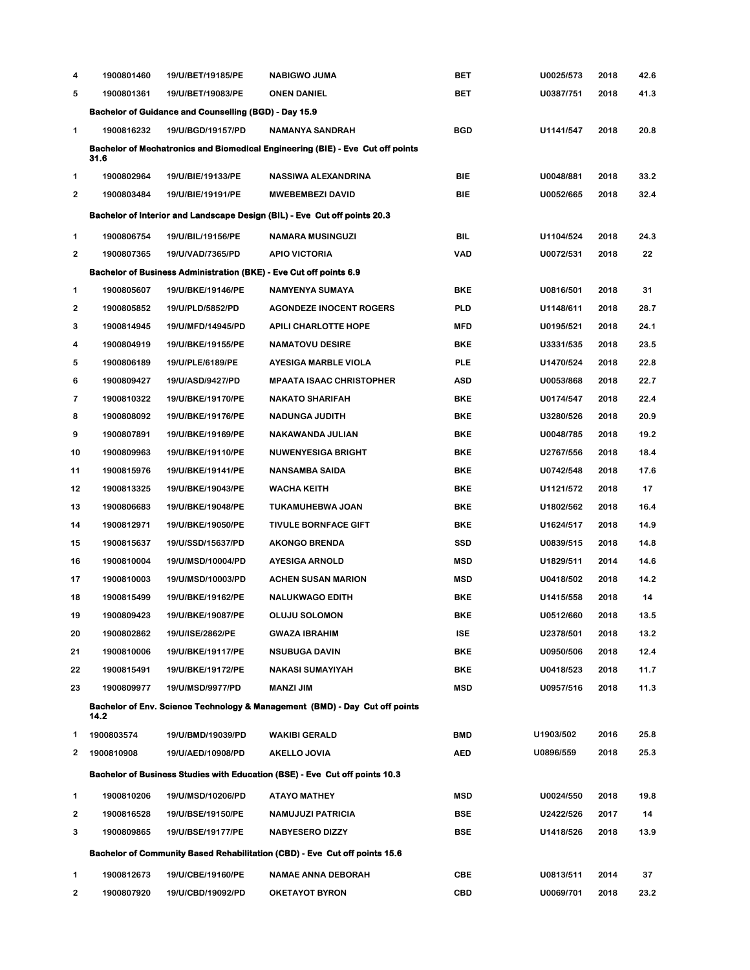| 4              | 1900801460                                                                             | 19/U/BET/19185/PE                                                         | <b>NABIGWO JUMA</b>                                                                | BET        | U0025/573 | 2018 | 42.6 |  |  |  |  |
|----------------|----------------------------------------------------------------------------------------|---------------------------------------------------------------------------|------------------------------------------------------------------------------------|------------|-----------|------|------|--|--|--|--|
| 5              | 1900801361                                                                             | 19/U/BET/19083/PE                                                         | <b>ONEN DANIEL</b>                                                                 | BET        | U0387/751 | 2018 | 41.3 |  |  |  |  |
|                |                                                                                        | <b>Bachelor of Guidance and Counselling (BGD) - Day 15.9</b>              |                                                                                    |            |           |      |      |  |  |  |  |
| 1              | 1900816232                                                                             | 19/U/BGD/19157/PD                                                         | <b>NAMANYA SANDRAH</b>                                                             | <b>BGD</b> | U1141/547 | 2018 | 20.8 |  |  |  |  |
|                | Bachelor of Mechatronics and Biomedical Engineering (BIE) - Eve Cut off points<br>31.6 |                                                                           |                                                                                    |            |           |      |      |  |  |  |  |
| 1              | 1900802964                                                                             | 19/U/BIE/19133/PE                                                         | NASSIWA ALEXANDRINA                                                                | <b>BIE</b> | U0048/881 | 2018 | 33.2 |  |  |  |  |
| 2              | 1900803484                                                                             | 19/U/BIE/19191/PE                                                         | <b>MWEBEMBEZI DAVID</b>                                                            | BIE        | U0052/665 | 2018 | 32.4 |  |  |  |  |
|                |                                                                                        |                                                                           | Bachelor of Interior and Landscape Design (BIL) - Eve Cut off points 20.3          |            |           |      |      |  |  |  |  |
| 1              | 1900806754                                                                             | 19/U/BIL/19156/PE                                                         | <b>NAMARA MUSINGUZI</b>                                                            | BIL        | U1104/524 | 2018 | 24.3 |  |  |  |  |
| $\overline{2}$ | 1900807365                                                                             | 19/U/VAD/7365/PD                                                          | <b>APIO VICTORIA</b>                                                               | VAD        | U0072/531 | 2018 | 22   |  |  |  |  |
|                |                                                                                        | <b>Bachelor of Business Administration (BKE) - Eve Cut off points 6.9</b> |                                                                                    |            |           |      |      |  |  |  |  |
| 1              | 1900805607                                                                             | 19/U/BKE/19146/PE                                                         | NAMYENYA SUMAYA                                                                    | <b>BKE</b> | U0816/501 | 2018 | 31   |  |  |  |  |
| $\mathbf 2$    | 1900805852                                                                             | 19/U/PLD/5852/PD                                                          | <b>AGONDEZE INOCENT ROGERS</b>                                                     | PLD        | U1148/611 | 2018 | 28.7 |  |  |  |  |
| 3              | 1900814945                                                                             | 19/U/MFD/14945/PD                                                         | APILI CHARLOTTE HOPE                                                               | <b>MFD</b> | U0195/521 | 2018 | 24.1 |  |  |  |  |
| 4              | 1900804919                                                                             | 19/U/BKE/19155/PE                                                         | <b>NAMATOVU DESIRE</b>                                                             | <b>BKE</b> | U3331/535 | 2018 | 23.5 |  |  |  |  |
| 5              | 1900806189                                                                             | 19/U/PLE/6189/PE                                                          | <b>AYESIGA MARBLE VIOLA</b>                                                        | <b>PLE</b> | U1470/524 | 2018 | 22.8 |  |  |  |  |
| 6              | 1900809427                                                                             | 19/U/ASD/9427/PD                                                          | <b>MPAATA ISAAC CHRISTOPHER</b>                                                    | ASD        | U0053/868 | 2018 | 22.7 |  |  |  |  |
| 7              | 1900810322                                                                             | 19/U/BKE/19170/PE                                                         | <b>NAKATO SHARIFAH</b>                                                             | <b>BKE</b> | U0174/547 | 2018 | 22.4 |  |  |  |  |
| 8              | 1900808092                                                                             | 19/U/BKE/19176/PE                                                         | <b>NADUNGA JUDITH</b>                                                              | <b>BKE</b> | U3280/526 | 2018 | 20.9 |  |  |  |  |
| 9              | 1900807891                                                                             | 19/U/BKE/19169/PE                                                         | NAKAWANDA JULIAN                                                                   | <b>BKE</b> | U0048/785 | 2018 | 19.2 |  |  |  |  |
| 10             | 1900809963                                                                             | 19/U/BKE/19110/PE                                                         | <b>NUWENYESIGA BRIGHT</b>                                                          | <b>BKE</b> | U2767/556 | 2018 | 18.4 |  |  |  |  |
| 11             | 1900815976                                                                             | 19/U/BKE/19141/PE                                                         | NANSAMBA SAIDA                                                                     | <b>BKE</b> | U0742/548 | 2018 | 17.6 |  |  |  |  |
| 12             | 1900813325                                                                             | 19/U/BKE/19043/PE                                                         | <b>WACHA KEITH</b>                                                                 | <b>BKE</b> | U1121/572 | 2018 | 17   |  |  |  |  |
| 13             | 1900806683                                                                             | 19/U/BKE/19048/PE                                                         | TUKAMUHEBWA JOAN                                                                   | <b>BKE</b> | U1802/562 | 2018 | 16.4 |  |  |  |  |
| 14             | 1900812971                                                                             | 19/U/BKE/19050/PE                                                         | <b>TIVULE BORNFACE GIFT</b>                                                        | <b>BKE</b> | U1624/517 | 2018 | 14.9 |  |  |  |  |
| 15             | 1900815637                                                                             | 19/U/SSD/15637/PD                                                         | <b>AKONGO BRENDA</b>                                                               | <b>SSD</b> | U0839/515 | 2018 | 14.8 |  |  |  |  |
| 16             | 1900810004                                                                             | 19/U/MSD/10004/PD                                                         | <b>AYESIGA ARNOLD</b>                                                              | <b>MSD</b> | U1829/511 | 2014 | 14.6 |  |  |  |  |
| 17             | 1900810003                                                                             | 19/U/MSD/10003/PD                                                         | <b>ACHEN SUSAN MARION</b>                                                          | <b>MSD</b> | U0418/502 | 2018 | 14.2 |  |  |  |  |
| 18             | 1900815499                                                                             | 19/U/BKE/19162/PE                                                         | <b>NALUKWAGO EDITH</b>                                                             | <b>BKE</b> | U1415/558 | 2018 | 14   |  |  |  |  |
| 19             | 1900809423                                                                             | 19/U/BKE/19087/PE                                                         | <b>OLUJU SOLOMON</b>                                                               | <b>BKE</b> | U0512/660 | 2018 | 13.5 |  |  |  |  |
| 20             | 1900802862                                                                             | 19/U/ISE/2862/PE                                                          | <b>GWAZA IBRAHIM</b>                                                               | <b>ISE</b> | U2378/501 | 2018 | 13.2 |  |  |  |  |
| 21             | 1900810006                                                                             | 19/U/BKE/19117/PE                                                         | <b>NSUBUGA DAVIN</b>                                                               | <b>BKE</b> | U0950/506 | 2018 | 12.4 |  |  |  |  |
| 22             | 1900815491                                                                             | 19/U/BKE/19172/PE                                                         | <b>NAKASI SUMAYIYAH</b>                                                            | <b>BKE</b> | U0418/523 | 2018 | 11.7 |  |  |  |  |
| 23             | 1900809977                                                                             | 19/U/MSD/9977/PD                                                          | <b>MANZI JIM</b>                                                                   | <b>MSD</b> | U0957/516 | 2018 | 11.3 |  |  |  |  |
|                | 14.2                                                                                   |                                                                           | Bachelor of Env. Science Technology & Management (BMD) - Day Cut off points        |            |           |      |      |  |  |  |  |
| 1              | 1900803574                                                                             | 19/U/BMD/19039/PD                                                         | <b>WAKIBI GERALD</b>                                                               | <b>BMD</b> | U1903/502 | 2016 | 25.8 |  |  |  |  |
| 2              | 1900810908                                                                             | 19/U/AED/10908/PD                                                         | AKELLO JOVIA                                                                       | <b>AED</b> | U0896/559 | 2018 | 25.3 |  |  |  |  |
|                |                                                                                        |                                                                           | <b>Bachelor of Business Studies with Education (BSE) - Eve Cut off points 10.3</b> |            |           |      |      |  |  |  |  |
| 1              | 1900810206                                                                             | 19/U/MSD/10206/PD                                                         | <b>ATAYO MATHEY</b>                                                                | <b>MSD</b> | U0024/550 | 2018 | 19.8 |  |  |  |  |
| 2              | 1900816528                                                                             | 19/U/BSE/19150/PE                                                         | <b>NAMUJUZI PATRICIA</b>                                                           | BSE        | U2422/526 | 2017 | 14   |  |  |  |  |
| 3              | 1900809865                                                                             | 19/U/BSE/19177/PE                                                         | <b>NABYESERO DIZZY</b>                                                             | BSE        | U1418/526 | 2018 | 13.9 |  |  |  |  |
|                |                                                                                        |                                                                           | Bachelor of Community Based Rehabilitation (CBD) - Eve Cut off points 15.6         |            |           |      |      |  |  |  |  |
| 1              | 1900812673                                                                             | 19/U/CBE/19160/PE                                                         | <b>NAMAE ANNA DEBORAH</b>                                                          | CBE        | U0813/511 | 2014 | 37   |  |  |  |  |
| 2              | 1900807920                                                                             | 19/U/CBD/19092/PD                                                         | <b>OKETAYOT BYRON</b>                                                              | <b>CBD</b> | U0069/701 | 2018 | 23.2 |  |  |  |  |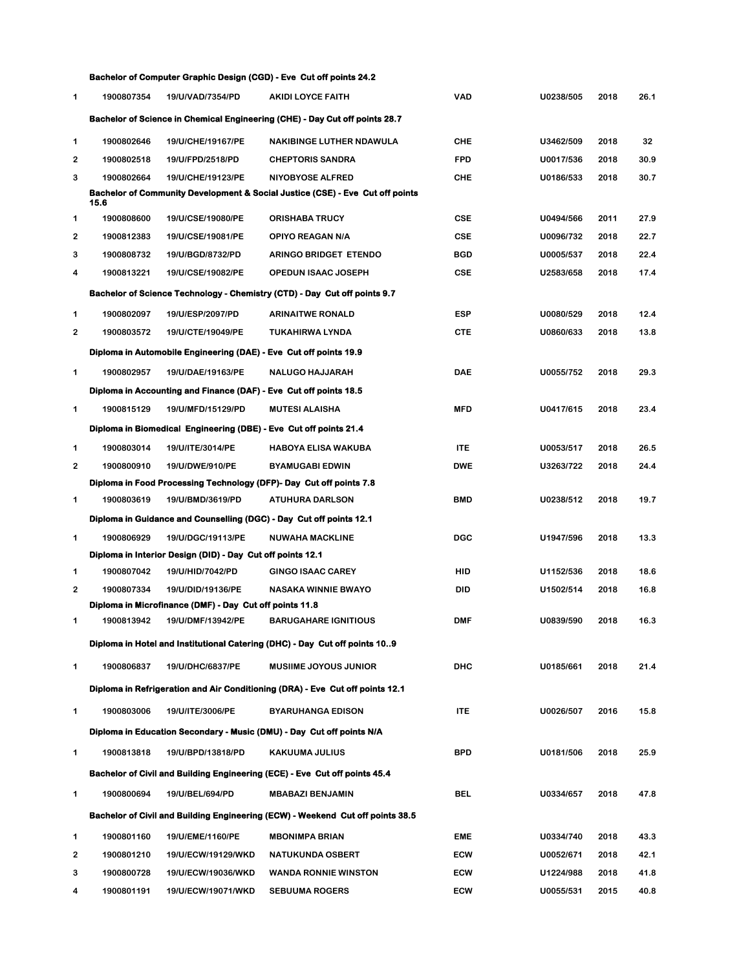|                |            |                                                                              | <b>Bachelor of Computer Graphic Design (CGD) - Eve Cut off points 24.2</b>         |            |           |      |      |
|----------------|------------|------------------------------------------------------------------------------|------------------------------------------------------------------------------------|------------|-----------|------|------|
| 1              | 1900807354 | 19/U/VAD/7354/PD                                                             | AKIDI LOYCE FAITH                                                                  | <b>VAD</b> | U0238/505 | 2018 | 26.1 |
|                |            |                                                                              | <b>Bachelor of Science in Chemical Engineering (CHE) - Day Cut off points 28.7</b> |            |           |      |      |
| 1              | 1900802646 | 19/U/CHE/19167/PE                                                            | <b>NAKIBINGE LUTHER NDAWULA</b>                                                    | <b>CHE</b> | U3462/509 | 2018 | 32   |
| $\mathbf{2}$   | 1900802518 | 19/U/FPD/2518/PD                                                             | <b>CHEPTORIS SANDRA</b>                                                            | <b>FPD</b> | U0017/536 | 2018 | 30.9 |
| 3              | 1900802664 | 19/U/CHE/19123/PE                                                            | <b>NIYOBYOSE ALFRED</b>                                                            | <b>CHE</b> | U0186/533 | 2018 | 30.7 |
|                | 15.6       |                                                                              | Bachelor of Community Development & Social Justice (CSE) - Eve Cut off points      |            |           |      |      |
| 1              | 1900808600 | 19/U/CSE/19080/PE                                                            | <b>ORISHABA TRUCY</b>                                                              | <b>CSE</b> | U0494/566 | 2011 | 27.9 |
| 2              | 1900812383 | 19/U/CSE/19081/PE                                                            | <b>OPIYO REAGAN N/A</b>                                                            | <b>CSE</b> | U0096/732 | 2018 | 22.7 |
| 3              | 1900808732 | 19/U/BGD/8732/PD                                                             | <b>ARINGO BRIDGET ETENDO</b>                                                       | <b>BGD</b> | U0005/537 | 2018 | 22.4 |
| 4              | 1900813221 | 19/U/CSE/19082/PE                                                            | <b>OPEDUN ISAAC JOSEPH</b>                                                         | <b>CSE</b> | U2583/658 | 2018 | 17.4 |
|                |            |                                                                              | Bachelor of Science Technology - Chemistry (CTD) - Day Cut off points 9.7          |            |           |      |      |
| 1              | 1900802097 | 19/U/ESP/2097/PD                                                             | <b>ARINAITWE RONALD</b>                                                            | <b>ESP</b> | U0080/529 | 2018 | 12.4 |
| 2              | 1900803572 | 19/U/CTE/19049/PE                                                            | TUKAHIRWA LYNDA                                                                    | <b>CTE</b> | U0860/633 | 2018 | 13.8 |
|                |            | Diploma in Automobile Engineering (DAE) - Eve Cut off points 19.9            |                                                                                    |            |           |      |      |
| 1              | 1900802957 | 19/U/DAE/19163/PE                                                            | <b>NALUGO HAJJARAH</b>                                                             | <b>DAE</b> | U0055/752 | 2018 | 29.3 |
|                |            | Diploma in Accounting and Finance (DAF) - Eve Cut off points 18.5            |                                                                                    |            |           |      |      |
| 1              | 1900815129 | 19/U/MFD/15129/PD                                                            | <b>MUTESI ALAISHA</b>                                                              | <b>MFD</b> | U0417/615 | 2018 | 23.4 |
|                |            | Diploma in Biomedical Engineering (DBE) - Eve Cut off points 21.4            |                                                                                    |            |           |      |      |
| 1              | 1900803014 | 19/U/ITE/3014/PE                                                             | <b>HABOYA ELISA WAKUBA</b>                                                         | <b>ITE</b> | U0053/517 | 2018 | 26.5 |
| 2              | 1900800910 | 19/U/DWE/910/PE                                                              | <b>BYAMUGABI EDWIN</b>                                                             | <b>DWE</b> | U3263/722 | 2018 | 24.4 |
|                |            |                                                                              | Diploma in Food Processing Technology (DFP)- Day Cut off points 7.8                |            |           |      |      |
| 1              | 1900803619 | 19/U/BMD/3619/PD                                                             | <b>ATUHURA DARLSON</b>                                                             | BMD        | U0238/512 | 2018 | 19.7 |
|                |            |                                                                              | Diploma in Guidance and Counselling (DGC) - Day Cut off points 12.1                |            |           |      |      |
| 1              | 1900806929 | 19/U/DGC/19113/PE                                                            | <b>NUWAHA MACKLINE</b>                                                             | <b>DGC</b> | U1947/596 | 2018 | 13.3 |
|                |            | Diploma in Interior Design (DID) - Day Cut off points 12.1                   |                                                                                    |            |           |      |      |
| 1              | 1900807042 | 19/U/HID/7042/PD                                                             | <b>GINGO ISAAC CAREY</b>                                                           | HID        | U1152/536 | 2018 | 18.6 |
| $\overline{2}$ | 1900807334 | 19/U/DID/19136/PE<br>Diploma in Microfinance (DMF) - Day Cut off points 11.8 | <b>NASAKA WINNIE BWAYO</b>                                                         | DID        | U1502/514 | 2018 | 16.8 |
| 1              | 1900813942 | 19/U/DMF/13942/PE                                                            | <b>BARUGAHARE IGNITIOUS</b>                                                        | <b>DMF</b> | U0839/590 | 2018 | 16.3 |
|                |            |                                                                              | Diploma in Hotel and Institutional Catering (DHC) - Day Cut off points 109         |            |           |      |      |
|                |            |                                                                              |                                                                                    |            |           |      |      |
| 1              | 1900806837 | 19/U/DHC/6837/PE                                                             | <b>MUSIIME JOYOUS JUNIOR</b>                                                       | <b>DHC</b> | U0185/661 | 2018 | 21.4 |
|                |            |                                                                              | Diploma in Refrigeration and Air Conditioning (DRA) - Eve Cut off points 12.1      |            |           |      |      |
| 1              | 1900803006 | 19/U/ITE/3006/PE                                                             | <b>BYARUHANGA EDISON</b>                                                           | <b>ITE</b> | U0026/507 | 2016 | 15.8 |
|                |            |                                                                              | Diploma in Education Secondary - Music (DMU) - Day Cut off points N/A              |            |           |      |      |
| 1              | 1900813818 | 19/U/BPD/13818/PD                                                            | <b>KAKUUMA JULIUS</b>                                                              | <b>BPD</b> | U0181/506 | 2018 | 25.9 |
|                |            |                                                                              | Bachelor of Civil and Building Engineering (ECE) - Eve Cut off points 45.4         |            |           |      |      |
| 1              | 1900800694 | 19/U/BEL/694/PD                                                              | <b>MBABAZI BENJAMIN</b>                                                            | <b>BEL</b> | U0334/657 | 2018 | 47.8 |
|                |            |                                                                              | Bachelor of Civil and Building Engineering (ECW) - Weekend Cut off points 38.5     |            |           |      |      |
| 1              | 1900801160 | 19/U/EME/1160/PE                                                             | <b>MBONIMPA BRIAN</b>                                                              | <b>EME</b> | U0334/740 | 2018 | 43.3 |
| 2              | 1900801210 | 19/U/ECW/19129/WKD                                                           | NATUKUNDA OSBERT                                                                   | ECW        | U0052/671 | 2018 | 42.1 |
| 3              | 1900800728 | 19/U/ECW/19036/WKD                                                           | <b>WANDA RONNIE WINSTON</b>                                                        | ECW        | U1224/988 | 2018 | 41.8 |
| 4              | 1900801191 | 19/U/ECW/19071/WKD                                                           | <b>SEBUUMA ROGERS</b>                                                              | ECW        | U0055/531 | 2015 | 40.8 |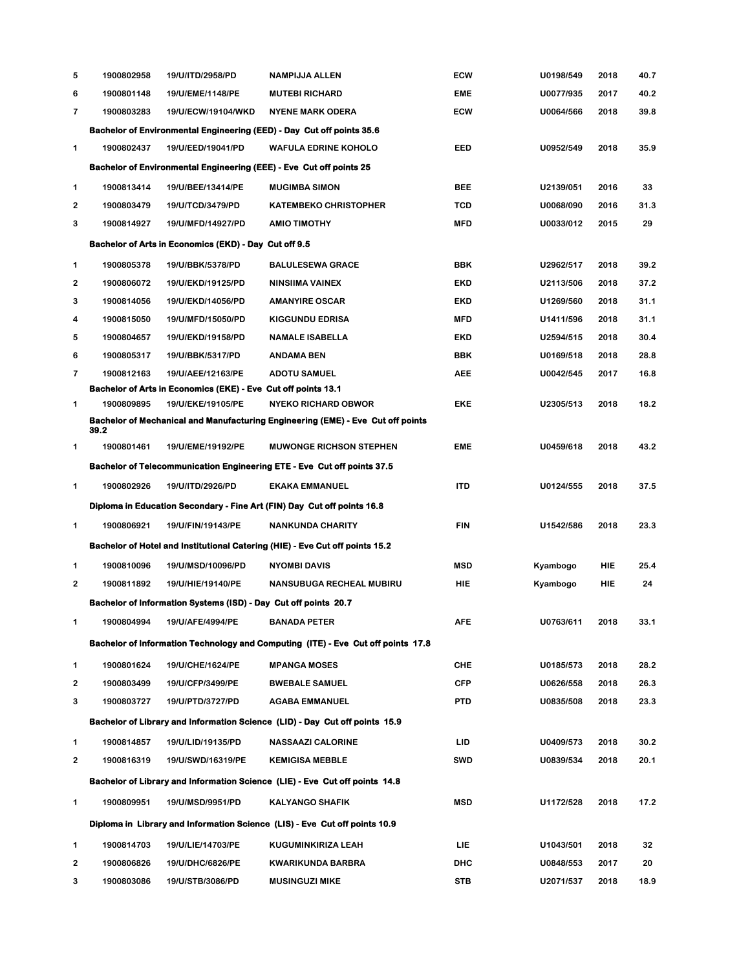| 5                       | 1900802958 | 19/U/ITD/2958/PD                                                | NAMPIJJA ALLEN                                                                      | <b>ECW</b> | U0198/549 | 2018 | 40.7 |
|-------------------------|------------|-----------------------------------------------------------------|-------------------------------------------------------------------------------------|------------|-----------|------|------|
| 6                       | 1900801148 | 19/U/EME/1148/PE                                                | <b>MUTEBI RICHARD</b>                                                               | <b>EME</b> | U0077/935 | 2017 | 40.2 |
| $\overline{\mathbf{r}}$ | 1900803283 | 19/U/ECW/19104/WKD                                              | <b>NYENE MARK ODERA</b>                                                             | <b>ECW</b> | U0064/566 | 2018 | 39.8 |
|                         |            |                                                                 | Bachelor of Environmental Engineering (EED) - Day Cut off points 35.6               |            |           |      |      |
| 1                       | 1900802437 | 19/U/EED/19041/PD                                               | <b>WAFULA EDRINE KOHOLO</b>                                                         | EED        | U0952/549 | 2018 | 35.9 |
|                         |            |                                                                 | <b>Bachelor of Environmental Engineering (EEE) - Eve Cut off points 25</b>          |            |           |      |      |
| 1                       | 1900813414 | 19/U/BEE/13414/PE                                               | <b>MUGIMBA SIMON</b>                                                                | BEE        | U2139/051 | 2016 | 33   |
| $\overline{2}$          | 1900803479 | 19/U/TCD/3479/PD                                                | <b>KATEMBEKO CHRISTOPHER</b>                                                        | <b>TCD</b> | U0068/090 | 2016 | 31.3 |
| 3                       | 1900814927 | 19/U/MFD/14927/PD                                               | <b>AMIO TIMOTHY</b>                                                                 | <b>MFD</b> | U0033/012 | 2015 | 29   |
|                         |            | Bachelor of Arts in Economics (EKD) - Day Cut off 9.5           |                                                                                     |            |           |      |      |
| 1                       | 1900805378 | 19/U/BBK/5378/PD                                                | <b>BALULESEWA GRACE</b>                                                             | <b>BBK</b> | U2962/517 | 2018 | 39.2 |
| 2                       | 1900806072 | 19/U/EKD/19125/PD                                               | NINSIIMA VAINEX                                                                     | <b>EKD</b> | U2113/506 | 2018 | 37.2 |
| 3                       | 1900814056 | 19/U/EKD/14056/PD                                               | <b>AMANYIRE OSCAR</b>                                                               | <b>EKD</b> | U1269/560 | 2018 | 31.1 |
| 4                       | 1900815050 | 19/U/MFD/15050/PD                                               | <b>KIGGUNDU EDRISA</b>                                                              | <b>MFD</b> | U1411/596 | 2018 | 31.1 |
| 5                       | 1900804657 | 19/U/EKD/19158/PD                                               | <b>NAMALE ISABELLA</b>                                                              | <b>EKD</b> | U2594/515 | 2018 | 30.4 |
| 6                       | 1900805317 | 19/U/BBK/5317/PD                                                | ANDAMA BEN                                                                          | <b>BBK</b> | U0169/518 | 2018 | 28.8 |
| $\overline{\mathbf{r}}$ | 1900812163 | 19/U/AEE/12163/PE                                               | <b>ADOTU SAMUEL</b>                                                                 | <b>AEE</b> | U0042/545 | 2017 | 16.8 |
|                         |            | Bachelor of Arts in Economics (EKE) - Eve Cut off points 13.1   |                                                                                     |            |           |      |      |
| 1                       | 1900809895 | 19/U/EKE/19105/PE                                               | <b>NYEKO RICHARD OBWOR</b>                                                          | <b>EKE</b> | U2305/513 | 2018 | 18.2 |
|                         | 39.2       |                                                                 | Bachelor of Mechanical and Manufacturing Engineering (EME) - Eve Cut off points     |            |           |      |      |
| 1                       | 1900801461 | 19/U/EME/19192/PE                                               | <b>MUWONGE RICHSON STEPHEN</b>                                                      | EME        | U0459/618 | 2018 | 43.2 |
|                         |            |                                                                 | <b>Bachelor of Telecommunication Engineering ETE - Eve Cut off points 37.5</b>      |            |           |      |      |
| 1                       | 1900802926 | 19/U/ITD/2926/PD                                                | <b>EKAKA EMMANUEL</b>                                                               | ITD        | U0124/555 | 2018 | 37.5 |
|                         |            |                                                                 | Diploma in Education Secondary - Fine Art (FIN) Day Cut off points 16.8             |            |           |      |      |
| 1                       | 1900806921 | 19/U/FIN/19143/PE                                               | <b>NANKUNDA CHARITY</b>                                                             | <b>FIN</b> | U1542/586 | 2018 | 23.3 |
|                         |            |                                                                 | <b>Bachelor of Hotel and Institutional Catering (HIE) - Eve Cut off points 15.2</b> |            |           |      |      |
| 1                       | 1900810096 | 19/U/MSD/10096/PD                                               | <b>NYOMBI DAVIS</b>                                                                 | <b>MSD</b> | Kyambogo  | HIE  | 25.4 |
| 2                       | 1900811892 | 19/U/HIE/19140/PE                                               | <b>NANSUBUGA RECHEAL MUBIRU</b>                                                     | HIE        | Kyambogo  | HIE  | 24   |
|                         |            | Bachelor of Information Systems (ISD) - Day Cut off points 20.7 |                                                                                     |            |           |      |      |
| 1                       | 1900804994 | 19/U/AFE/4994/PE                                                | <b>BANADA PETER</b>                                                                 | AFE        | U0763/611 | 2018 | 33.1 |
|                         |            |                                                                 | Bachelor of Information Technology and Computing (ITE) - Eve Cut off points 17.8    |            |           |      |      |
| 1                       | 1900801624 | 19/U/CHE/1624/PE                                                | <b>MPANGA MOSES</b>                                                                 | <b>CHE</b> | U0185/573 | 2018 | 28.2 |
| $\overline{2}$          | 1900803499 | 19/U/CFP/3499/PE                                                | <b>BWEBALE SAMUEL</b>                                                               | <b>CFP</b> | U0626/558 | 2018 | 26.3 |
| 3                       | 1900803727 | 19/U/PTD/3727/PD                                                | <b>AGABA EMMANUEL</b>                                                               | PTD        | U0835/508 | 2018 | 23.3 |
|                         |            |                                                                 | Bachelor of Library and Information Science (LID) - Day Cut off points 15.9         |            |           |      |      |
| 1                       | 1900814857 | 19/U/LID/19135/PD                                               | <b>NASSAAZI CALORINE</b>                                                            | LID        | U0409/573 | 2018 | 30.2 |
| $\mathbf{2}$            | 1900816319 | 19/U/SWD/16319/PE                                               | <b>KEMIGISA MEBBLE</b>                                                              | <b>SWD</b> | U0839/534 | 2018 | 20.1 |
|                         |            |                                                                 | Bachelor of Library and Information Science (LIE) - Eve Cut off points 14.8         |            |           |      |      |
| 1                       | 1900809951 | 19/U/MSD/9951/PD                                                | <b>KALYANGO SHAFIK</b>                                                              | <b>MSD</b> | U1172/528 | 2018 | 17.2 |
|                         |            |                                                                 | Diploma in Library and Information Science (LIS) - Eve Cut off points 10.9          |            |           |      |      |
| 1                       | 1900814703 | 19/U/LIE/14703/PE                                               | KUGUMINKIRIZA LEAH                                                                  | LIE.       | U1043/501 | 2018 | 32   |
| 2                       | 1900806826 | 19/U/DHC/6826/PE                                                | KWARIKUNDA BARBRA                                                                   | <b>DHC</b> | U0848/553 | 2017 | 20   |
| 3                       | 1900803086 | 19/U/STB/3086/PD                                                | <b>MUSINGUZI MIKE</b>                                                               | <b>STB</b> | U2071/537 | 2018 | 18.9 |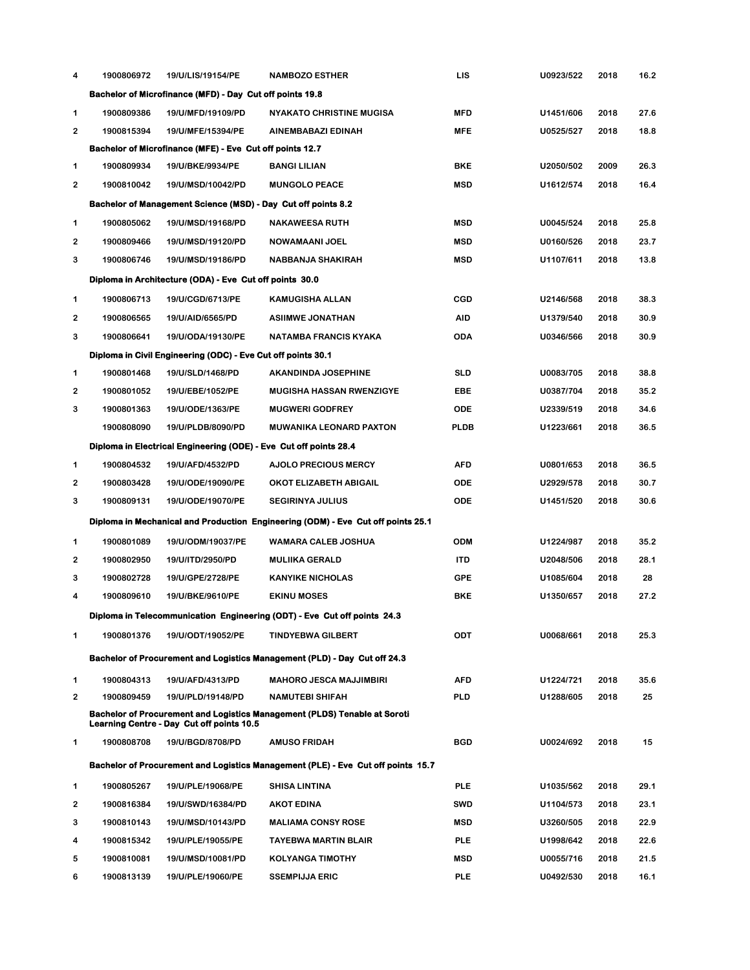| 4 | 1900806972                                                        | 19/U/LIS/19154/PE                                             | <b>NAMBOZO ESTHER</b>                                                            | LIS         | U0923/522 | 2018 | 16.2 |  |  |  |  |
|---|-------------------------------------------------------------------|---------------------------------------------------------------|----------------------------------------------------------------------------------|-------------|-----------|------|------|--|--|--|--|
|   | Bachelor of Microfinance (MFD) - Day Cut off points 19.8          |                                                               |                                                                                  |             |           |      |      |  |  |  |  |
| 1 | 1900809386                                                        | 19/U/MFD/19109/PD                                             | <b>NYAKATO CHRISTINE MUGISA</b>                                                  | <b>MFD</b>  | U1451/606 | 2018 | 27.6 |  |  |  |  |
| 2 | 1900815394                                                        | 19/U/MFE/15394/PE                                             | AINEMBABAZI EDINAH                                                               | <b>MFE</b>  | U0525/527 | 2018 | 18.8 |  |  |  |  |
|   |                                                                   | Bachelor of Microfinance (MFE) - Eve Cut off points 12.7      |                                                                                  |             |           |      |      |  |  |  |  |
| 1 | 1900809934                                                        | 19/U/BKE/9934/PE                                              | BANGI LILIAN                                                                     | BKE         | U2050/502 | 2009 | 26.3 |  |  |  |  |
| 2 | 1900810042                                                        | 19/U/MSD/10042/PD                                             | <b>MUNGOLO PEACE</b>                                                             | <b>MSD</b>  | U1612/574 | 2018 | 16.4 |  |  |  |  |
|   |                                                                   | Bachelor of Management Science (MSD) - Day Cut off points 8.2 |                                                                                  |             |           |      |      |  |  |  |  |
| 1 | 1900805062                                                        | 19/U/MSD/19168/PD                                             | <b>NAKAWEESA RUTH</b>                                                            | <b>MSD</b>  | U0045/524 | 2018 | 25.8 |  |  |  |  |
| 2 | 1900809466                                                        | 19/U/MSD/19120/PD                                             | NOWAMAANI JOEL                                                                   | <b>MSD</b>  | U0160/526 | 2018 | 23.7 |  |  |  |  |
| 3 | 1900806746                                                        | 19/U/MSD/19186/PD                                             | NABBANJA SHAKIRAH                                                                | <b>MSD</b>  | U1107/611 | 2018 | 13.8 |  |  |  |  |
|   |                                                                   | Diploma in Architecture (ODA) - Eve Cut off points 30.0       |                                                                                  |             |           |      |      |  |  |  |  |
| 1 | 1900806713                                                        | 19/U/CGD/6713/PE                                              | <b>KAMUGISHA ALLAN</b>                                                           | <b>CGD</b>  | U2146/568 | 2018 | 38.3 |  |  |  |  |
| 2 | 1900806565                                                        | 19/U/AID/6565/PD                                              | <b>ASIIMWE JONATHAN</b>                                                          | <b>AID</b>  | U1379/540 | 2018 | 30.9 |  |  |  |  |
| 3 | 1900806641                                                        | 19/U/ODA/19130/PE                                             | NATAMBA FRANCIS KYAKA                                                            | <b>ODA</b>  | U0346/566 | 2018 | 30.9 |  |  |  |  |
|   |                                                                   | Diploma in Civil Engineering (ODC) - Eve Cut off points 30.1  |                                                                                  |             |           |      |      |  |  |  |  |
| 1 | 1900801468                                                        | 19/U/SLD/1468/PD                                              | <b>AKANDINDA JOSEPHINE</b>                                                       | SLD         | U0083/705 | 2018 | 38.8 |  |  |  |  |
| 2 | 1900801052                                                        | 19/U/EBE/1052/PE                                              | <b>MUGISHA HASSAN RWENZIGYE</b>                                                  | EBE         | U0387/704 | 2018 | 35.2 |  |  |  |  |
| 3 | 1900801363                                                        | 19/U/ODE/1363/PE                                              | <b>MUGWERI GODFREY</b>                                                           | <b>ODE</b>  | U2339/519 | 2018 | 34.6 |  |  |  |  |
|   | 1900808090                                                        | 19/U/PLDB/8090/PD                                             | <b>MUWANIKA LEONARD PAXTON</b>                                                   | <b>PLDB</b> | U1223/661 | 2018 | 36.5 |  |  |  |  |
|   | Diploma in Electrical Engineering (ODE) - Eve Cut off points 28.4 |                                                               |                                                                                  |             |           |      |      |  |  |  |  |
| 1 | 1900804532                                                        | 19/U/AFD/4532/PD                                              | <b>AJOLO PRECIOUS MERCY</b>                                                      | AFD         | U0801/653 | 2018 | 36.5 |  |  |  |  |
| 2 | 1900803428                                                        | 19/U/ODE/19090/PE                                             | OKOT ELIZABETH ABIGAIL                                                           | ODE         | U2929/578 | 2018 | 30.7 |  |  |  |  |
| 3 | 1900809131                                                        | 19/U/ODE/19070/PE                                             | <b>SEGIRINYA JULIUS</b>                                                          | ODE         | U1451/520 | 2018 | 30.6 |  |  |  |  |
|   |                                                                   |                                                               | Diploma in Mechanical and Production Engineering (ODM) - Eve Cut off points 25.1 |             |           |      |      |  |  |  |  |
| 1 | 1900801089                                                        | 19/U/ODM/19037/PE                                             | WAMARA CALEB JOSHUA                                                              | <b>ODM</b>  | U1224/987 | 2018 | 35.2 |  |  |  |  |
| 2 | 1900802950                                                        | 19/U/ITD/2950/PD                                              | <b>MULIIKA GERALD</b>                                                            | <b>ITD</b>  | U2048/506 | 2018 | 28.1 |  |  |  |  |
| 3 | 1900802728                                                        | 19/U/GPE/2728/PE                                              | <b>KANYIKE NICHOLAS</b>                                                          | GPE         | U1085/604 | 2018 | 28   |  |  |  |  |
| 4 | 1900809610                                                        | 19/U/BKE/9610/PE                                              | <b>EKINU MOSES</b>                                                               | BKE         | U1350/657 | 2018 | 27.2 |  |  |  |  |
|   |                                                                   |                                                               | Diploma in Telecommunication Engineering (ODT) - Eve Cut off points 24.3         |             |           |      |      |  |  |  |  |
| 1 | 1900801376                                                        | 19/U/ODT/19052/PE                                             | <b>TINDYEBWA GILBERT</b>                                                         | ODT         | U0068/661 | 2018 | 25.3 |  |  |  |  |
|   |                                                                   |                                                               | <b>Bachelor of Procurement and Logistics Management (PLD) - Day Cut off 24.3</b> |             |           |      |      |  |  |  |  |
| 1 | 1900804313                                                        | 19/U/AFD/4313/PD                                              | <b>MAHORO JESCA MAJJIMBIRI</b>                                                   | AFD         | U1224/721 | 2018 | 35.6 |  |  |  |  |
| 2 | 1900809459                                                        | 19/U/PLD/19148/PD                                             | <b>NAMUTEBI SHIFAH</b>                                                           | <b>PLD</b>  | U1288/605 | 2018 | 25   |  |  |  |  |
|   |                                                                   | Learning Centre - Day Cut off points 10.5                     | <b>Bachelor of Procurement and Logistics Management (PLDS) Tenable at Soroti</b> |             |           |      |      |  |  |  |  |
| 1 | 1900808708                                                        | 19/U/BGD/8708/PD                                              | <b>AMUSO FRIDAH</b>                                                              | <b>BGD</b>  | U0024/692 | 2018 | 15   |  |  |  |  |
|   |                                                                   |                                                               | Bachelor of Procurement and Logistics Management (PLE) - Eve Cut off points 15.7 |             |           |      |      |  |  |  |  |
| 1 | 1900805267                                                        | 19/U/PLE/19068/PE                                             | SHISA LINTINA                                                                    | <b>PLE</b>  | U1035/562 | 2018 | 29.1 |  |  |  |  |
| 2 | 1900816384                                                        | 19/U/SWD/16384/PD                                             | <b>AKOT EDINA</b>                                                                | <b>SWD</b>  | U1104/573 | 2018 | 23.1 |  |  |  |  |
| 3 | 1900810143                                                        | 19/U/MSD/10143/PD                                             | <b>MALIAMA CONSY ROSE</b>                                                        | <b>MSD</b>  | U3260/505 | 2018 | 22.9 |  |  |  |  |
| 4 | 1900815342                                                        | 19/U/PLE/19055/PE                                             | TAYEBWA MARTIN BLAIR                                                             | <b>PLE</b>  | U1998/642 | 2018 | 22.6 |  |  |  |  |
| 5 | 1900810081                                                        | 19/U/MSD/10081/PD                                             | KOLYANGA TIMOTHY                                                                 | <b>MSD</b>  | U0055/716 | 2018 | 21.5 |  |  |  |  |
| 6 | 1900813139                                                        | 19/U/PLE/19060/PE                                             | <b>SSEMPIJJA ERIC</b>                                                            | <b>PLE</b>  | U0492/530 | 2018 | 16.1 |  |  |  |  |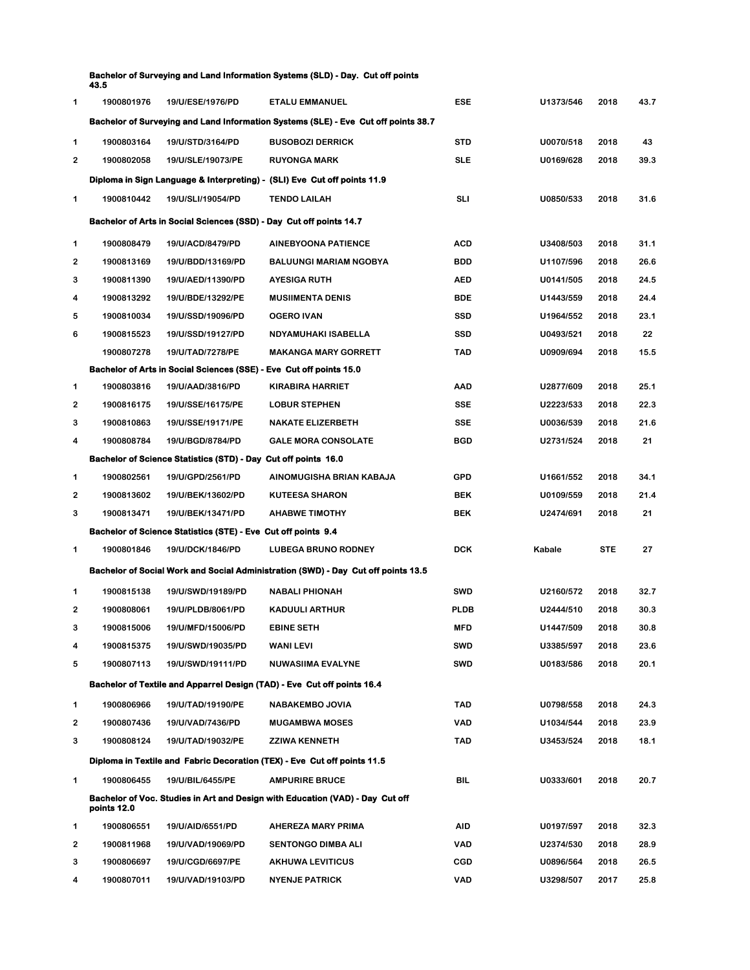| Bachelor of Surveying and Land Information Systems (SLD) - Day. Cut off points |  |
|--------------------------------------------------------------------------------|--|
| 43.5                                                                           |  |

| 1              | 1900801976                                                                         | 19/U/ESE/1976/PD                                                    | <b>ETALU EMMANUEL</b>                                                             | <b>ESE</b>  | U1373/546 | 2018       | 43.7 |  |  |  |
|----------------|------------------------------------------------------------------------------------|---------------------------------------------------------------------|-----------------------------------------------------------------------------------|-------------|-----------|------------|------|--|--|--|
|                | Bachelor of Surveying and Land Information Systems (SLE) - Eve Cut off points 38.7 |                                                                     |                                                                                   |             |           |            |      |  |  |  |
| 1              | 1900803164                                                                         | 19/U/STD/3164/PD                                                    | <b>BUSOBOZI DERRICK</b>                                                           | <b>STD</b>  | U0070/518 | 2018       | 43   |  |  |  |
| $\overline{2}$ | 1900802058                                                                         | 19/U/SLE/19073/PE                                                   | <b>RUYONGA MARK</b>                                                               | <b>SLE</b>  | U0169/628 | 2018       | 39.3 |  |  |  |
|                |                                                                                    |                                                                     | Diploma in Sign Language & Interpreting) - (SLI) Eve Cut off points 11.9          |             |           |            |      |  |  |  |
| 1              | 1900810442                                                                         | 19/U/SLI/19054/PD                                                   | <b>TENDO LAILAH</b>                                                               | <b>SLI</b>  | U0850/533 | 2018       | 31.6 |  |  |  |
|                |                                                                                    | Bachelor of Arts in Social Sciences (SSD) - Day Cut off points 14.7 |                                                                                   |             |           |            |      |  |  |  |
| 1              | 1900808479                                                                         | 19/U/ACD/8479/PD                                                    | <b>AINEBYOONA PATIENCE</b>                                                        | <b>ACD</b>  | U3408/503 | 2018       | 31.1 |  |  |  |
| 2              | 1900813169                                                                         | 19/U/BDD/13169/PD                                                   | <b>BALUUNGI MARIAM NGOBYA</b>                                                     | <b>BDD</b>  | U1107/596 | 2018       | 26.6 |  |  |  |
| 3              | 1900811390                                                                         | 19/U/AED/11390/PD                                                   | <b>AYESIGA RUTH</b>                                                               | <b>AED</b>  | U0141/505 | 2018       | 24.5 |  |  |  |
| 4              | 1900813292                                                                         | 19/U/BDE/13292/PE                                                   | <b>MUSIIMENTA DENIS</b>                                                           | <b>BDE</b>  | U1443/559 | 2018       | 24.4 |  |  |  |
| 5              | 1900810034                                                                         | 19/U/SSD/19096/PD                                                   | <b>OGERO IVAN</b>                                                                 | <b>SSD</b>  | U1964/552 | 2018       | 23.1 |  |  |  |
| 6              | 1900815523                                                                         | 19/U/SSD/19127/PD                                                   | NDYAMUHAKI ISABELLA                                                               | <b>SSD</b>  | U0493/521 | 2018       | 22   |  |  |  |
|                | 1900807278                                                                         | 19/U/TAD/7278/PE                                                    | <b>MAKANGA MARY GORRETT</b>                                                       | <b>TAD</b>  | U0909/694 | 2018       | 15.5 |  |  |  |
|                |                                                                                    | Bachelor of Arts in Social Sciences (SSE) - Eve Cut off points 15.0 |                                                                                   |             |           |            |      |  |  |  |
| 1              | 1900803816                                                                         | 19/U/AAD/3816/PD                                                    | <b>KIRABIRA HARRIET</b>                                                           | <b>AAD</b>  | U2877/609 | 2018       | 25.1 |  |  |  |
| 2              | 1900816175                                                                         | 19/U/SSE/16175/PE                                                   | <b>LOBUR STEPHEN</b>                                                              | <b>SSE</b>  | U2223/533 | 2018       | 22.3 |  |  |  |
| 3              | 1900810863                                                                         | 19/U/SSE/19171/PE                                                   | <b>NAKATE ELIZERBETH</b>                                                          | <b>SSE</b>  | U0036/539 | 2018       | 21.6 |  |  |  |
| 4              | 1900808784                                                                         | 19/U/BGD/8784/PD                                                    | <b>GALE MORA CONSOLATE</b>                                                        | <b>BGD</b>  | U2731/524 | 2018       | 21   |  |  |  |
|                |                                                                                    | Bachelor of Science Statistics (STD) - Day Cut off points 16.0      |                                                                                   |             |           |            |      |  |  |  |
| 1              | 1900802561                                                                         | 19/U/GPD/2561/PD                                                    | AINOMUGISHA BRIAN KABAJA                                                          | <b>GPD</b>  | U1661/552 | 2018       | 34.1 |  |  |  |
| 2              | 1900813602                                                                         | 19/U/BEK/13602/PD                                                   | <b>KUTEESA SHARON</b>                                                             | <b>BEK</b>  | U0109/559 | 2018       | 21.4 |  |  |  |
| 3              | 1900813471                                                                         | 19/U/BEK/13471/PD                                                   | <b>AHABWE TIMOTHY</b>                                                             | <b>BEK</b>  | U2474/691 | 2018       | 21   |  |  |  |
|                |                                                                                    | Bachelor of Science Statistics (STE) - Eve Cut off points 9.4       |                                                                                   |             |           |            |      |  |  |  |
| 1              | 1900801846                                                                         | 19/U/DCK/1846/PD                                                    | <b>LUBEGA BRUNO RODNEY</b>                                                        | <b>DCK</b>  | Kabale    | <b>STE</b> | 27   |  |  |  |
|                |                                                                                    |                                                                     | Bachelor of Social Work and Social Administration (SWD) - Day Cut off points 13.5 |             |           |            |      |  |  |  |
| 1              | 1900815138                                                                         | 19/U/SWD/19189/PD                                                   | <b>NABALI PHIONAH</b>                                                             | <b>SWD</b>  | U2160/572 | 2018       | 32.7 |  |  |  |
| 2              | 1900808061                                                                         | 19/U/PLDB/8061/PD                                                   | <b>KADUULI ARTHUR</b>                                                             | <b>PLDB</b> | U2444/510 | 2018       | 30.3 |  |  |  |
| 3              | 1900815006                                                                         | 19/U/MFD/15006/PD                                                   | <b>EBINE SETH</b>                                                                 | <b>MFD</b>  | U1447/509 | 2018       | 30.8 |  |  |  |
| 4              | 1900815375                                                                         | 19/U/SWD/19035/PD                                                   | <b>WANI LEVI</b>                                                                  | <b>SWD</b>  | U3385/597 | 2018       | 23.6 |  |  |  |
| 5              | 1900807113                                                                         | 19/U/SWD/19111/PD                                                   | NUWASIIMA EVALYNE                                                                 | <b>SWD</b>  | U0183/586 | 2018       | 20.1 |  |  |  |
|                |                                                                                    |                                                                     | Bachelor of Textile and Apparrel Design (TAD) - Eve Cut off points 16.4           |             |           |            |      |  |  |  |
| 1              | 1900806966                                                                         | 19/U/TAD/19190/PE                                                   | NABAKEMBO JOVIA                                                                   | TAD         | U0798/558 | 2018       | 24.3 |  |  |  |
| $\overline{2}$ | 1900807436                                                                         | 19/U/VAD/7436/PD                                                    | <b>MUGAMBWA MOSES</b>                                                             | <b>VAD</b>  | U1034/544 | 2018       | 23.9 |  |  |  |
| 3              | 1900808124                                                                         | 19/U/TAD/19032/PE                                                   | <b>ZZIWA KENNETH</b>                                                              | <b>TAD</b>  | U3453/524 | 2018       | 18.1 |  |  |  |
|                |                                                                                    |                                                                     | Diploma in Textile and Fabric Decoration (TEX) - Eve Cut off points 11.5          |             |           |            |      |  |  |  |
| 1              | 1900806455                                                                         | 19/U/BIL/6455/PE                                                    | <b>AMPURIRE BRUCE</b>                                                             | BIL         | U0333/601 | 2018       | 20.7 |  |  |  |
|                | points 12.0                                                                        |                                                                     | Bachelor of Voc. Studies in Art and Design with Education (VAD) - Day Cut off     |             |           |            |      |  |  |  |
| 1              | 1900806551                                                                         | 19/U/AID/6551/PD                                                    | AHEREZA MARY PRIMA                                                                | <b>AID</b>  | U0197/597 | 2018       | 32.3 |  |  |  |
| 2              | 1900811968                                                                         | 19/U/VAD/19069/PD                                                   | <b>SENTONGO DIMBA ALI</b>                                                         | <b>VAD</b>  | U2374/530 | 2018       | 28.9 |  |  |  |
| 3              | 1900806697                                                                         | 19/U/CGD/6697/PE                                                    | <b>AKHUWA LEVITICUS</b>                                                           | <b>CGD</b>  | U0896/564 | 2018       | 26.5 |  |  |  |
| 4              | 1900807011                                                                         | 19/U/VAD/19103/PD                                                   | <b>NYENJE PATRICK</b>                                                             | VAD         | U3298/507 | 2017       | 25.8 |  |  |  |
|                |                                                                                    |                                                                     |                                                                                   |             |           |            |      |  |  |  |